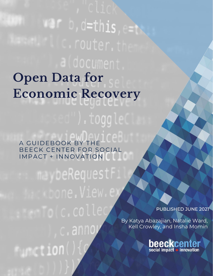# aldocument **Open Data for Economic Recovery** ).toggle.

A GUIDEBOOK BY THE BEECK CENTER FOR SOCIAL IMPACT + INNOVATION

aybeRequestF c.annoy *<u>Eurotion</u>* 

PUBLISHED JUNE 2021

By Katya Abazajian, Natalie Ward, Kell Crowley, and Insha Momin

**beeckcenter**<br>social impact + innovation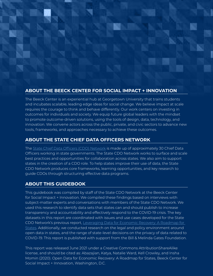# **ABOUT THE BEECK CENTER FOR SOCIAL IMPACT + INNOVATION**

The Beeck Center is an experiential hub at Georgetown University that trains students and incubates scalable, leading edge ideas for social change. We believe impact at scale requires the courage to think and behave differently. Our work centers on investing in outcomes for individuals and society. We equip future global leaders with the mindset to promote outcome-driven solutions, using the tools of design, data, technology, and innovation. We convene actors across the public, private, and civic sectors to advance new tools, frameworks, and approaches necessary to achieve these outcomes.

# **ABOUT THE STATE CHIEF DATA OFFICERS NETWORK**

The [State Chief Data Officers \(CDO\) Network](https://beeckcenter.georgetown.edu/state-cdo-network/) is made up of approximately 30 Chief Data Officers working in state governments. The State CDO Network works to surface and scale best practices and opportunities for collaboration across states. We also aim to support states in the creation of a CDO role. To help states improve their use of data, the State CDO Network produces core frameworks, learning opportunities, and key research to guide CDOs through structuring effective data programs.

# **ABOUT THIS GUIDEBOOK**

This guidebook was compiled by staff of the State CDO Network at the Beeck Center for Social Impact + Innovation. We compiled these findings based on interviews with subject-matter experts and conversations with members of the State CDO Network. We used this research to identify data sets that states can and should publish to increase transparency and accountability and effectively respond to the COVID-19 crisis. The key datasets in this report are coordinated with issues and use cases developed for the State CDO Network's previous report, [Leveraging Data for Economic Recovery: A Roadmap for](https://beeckcenter.georgetown.edu/states-can-support-an-equitable-recovery-with-data-heres-how/)  [States.](https://beeckcenter.georgetown.edu/states-can-support-an-equitable-recovery-with-data-heres-how/) Additionally, we conducted research on the legal and policy environment around open data in states, and the range of state-level decisions on the privacy of data related to COVID-19. This report is published with support from the Bill & Melinda Gates Foundation.

This report was released June 2021 under a Creative Commons AttributionShareAlike license, and should be cited as: Abazajian, Katya, Natalie Ward, Kell Crowley, and Insha Momin (2020). Open Data for Economic Recovery: A Roadmap for States, Beeck Center for Social Impact + Innovation, Washington, D.C.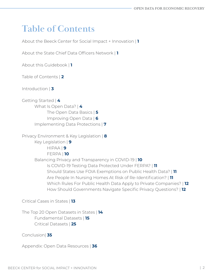# **Table of Contents**

About the Beeck Center for Social Impact + Innovation | **1**

About the State Chief Data Officers Network | **1**

About this Guidebook | **1**

Table of Contents | **2**

Introduction | **3**

Getting Started | **4** What Is Open Data? | **4** The Open Data Basics | **5** Improving Open Data | **6** Implementing Data Protections | **7**

Privacy Environment & Key Legislation | **8** Key Legislation | **9**

HIPAA | **9**

FERPA | **10**

 Balancing Privacy and Transparency in COVID-19 | **10** Is COVID-19 Testing Data Protected Under FERPA? | **11** Should States Use FOIA Exemptions on Public Health Data? | **11** Are People In Nursing Homes At Risk of Re-Identification? | **11** Which Rules For Public Health Data Apply to Private Companies? | **12** How Should Governments Navigate Specific Privacy Questions? | **12**

Critical Cases in States | **13**

The Top 20 Open Datasets in States | **14** Fundamental Datasets | **15** Critical Datasets | **25**

Conclusion| **35**

Appendix: Open Data Resources | **36**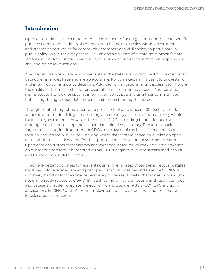# **Introduction**

Open data initiatives are a fundamental component of good government that can benefit public servants and residents alike. Open data helps to bust silos within government and creates opportunities for community members and civil society to participate in public policy. While they may seem like just one small part of a state government's data strategy, open data initiatives are the key to unlocking information that can help answer challenging policy questions.

Anyone can use open data. Public servants at the state level might use it to discover what data other agencies have and are able to share. Policymakers might use it to understand and inform upcoming policy decisions. Advocacy organizations might access it to improve the quality of their research and representation of communities' needs. And residents might access it to look for specific information about issues facing their communities. Publishing the right open data requires first understanding the purpose.

Through establishing robust open-data portals, chief data officers (CDOs) have made strides toward modernizing, streamlining, and creating a culture of transparency within their state governments. However, the roles of CDOs, including their influence over funding or decision-making about open data initiatives, can vary. Because capacities vary state by state, it is important for CDOs to be aware of the best-of-breed datasets their colleagues are publishing. Knowing which datasets are critical to publish on open data portals makes advocating for their publication across state governments easier. Open data can further transparency and evidence-based policy making within any state government, therefore, it is imperative that CDOs begin to cultivate streamlined, robust, and thorough open data portals.

To achieve better outcomes for residents during the phases of pandemic recovery, states must begin to leverage data and post open data that goes beyond baseline COVID-19 summary statistics for the state. As recovery progresses, it is vital that states publish data not only directly related to COVID-19—such as more granular testing and case data—but also datasets that demonstrate the economic and social effects of COVID-19, including applications for SNAP and TANF, unemployment, business openings and closures, or foreclosures and evictions.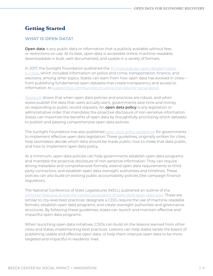# **Getting Started**

## **WHAT IS OPEN DATA?**

**Open data** is any public data or information that is publicly available without fees or restrictions on use. At its best, open data is accessible online, machine-readable, downloadable in bulk, well-documented, and usable in a variety of formats.

In 2017, the Sunlight Foundation published the [10 most popular open dataset topics](https://sunlightfoundation.com/2017/09/11/whos-at-the-popular-table-our-analysis-found-which-open-data-the-public-likes/)  [in cities](https://sunlightfoundation.com/2017/09/11/whos-at-the-popular-table-our-analysis-found-which-open-data-the-public-likes/), which included information on police and crime, transportation, finance, and elections, among other topics. States can learn from how open data has evolved in cities from publishing fundamental open datasets that create transparency and access to information, to [supporting communities in using that data for social good.](https://opendatapolicylab.org/articles/the-third-wave-of-open-data-open-data-policy-lab-releases-third-wave-of-open-data-toolkit/index.html)

[Research](https://sunlightfoundation.com/2018/10/09/research-cities-save-time-on-records-requests-by-doing-open-data-right/) shows that when open data policies and practices are robust, and when states publish the data that users actually want, governments save time and money on responding to public record requests. An **open data policy** is any legislation or administrative order that mandates the proactive disclosure of non-sensitive information. States can maximize the benefits of open data by thoughtfully prioritizing which datasets to publish and passing comprehensive open data policies.

The Sunlight Foundation has also published [open data policy guidelines](https://sunlightfoundation.com/opendataguidelines/) for governments to implement effective open data legislation. These guidelines, originally written for cities, help lawmakers decide which data should be made public, how to make that data public, and how to implement open data policy.

At a minimum, open data policies can help governments establish open data programs and mandate the proactive disclosure of non-sensitive information. They can require strong metadata and comprehensive formats, extend open data requirements to third party contractors, and establish open data oversight authorities and timelines. These policies can also build on existing public accountability policies (like campaign finance regulation).

The National Conference of State Legislatures (NSCL) published an outline of the [common features across the current ecosystem of state-level open data laws](https://www.ncsl.org/research/telecommunications-and-information-technology/state-open-data-laws-and-policies.aspx). These are similar to city-level best practices: designate a CDO, require the use of machine-readable formats, establish open data programs, and create oversight authorities and governance structures. By following these guidelines, states can launch and maintain effective and impactful open data programs.

When launching open data initiatives, CDOs can build on the lessons learned from other cities and states implementing best practices. Lessons can help states tackle the basics of publishing usable and effective open data, or help them improve open data to be more targeted and impactful in residents' lives.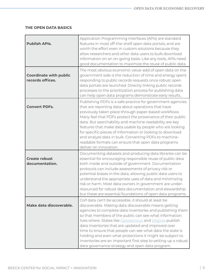#### **THE OPEN DATA BASICS**

| <b>Publish APIs.</b>                              | Application Programming Interfaces (APIs) are standard<br>features in most off-the-shelf open data portals, and are<br>worth the effort even in custom solutions because they<br>allow researchers and other data users to bulk download<br>information on an on-going basis. Like any tools, APIs need<br>good documentation to maximize the reuse of public data.                                                                                                                                                                                                                                    |
|---------------------------------------------------|--------------------------------------------------------------------------------------------------------------------------------------------------------------------------------------------------------------------------------------------------------------------------------------------------------------------------------------------------------------------------------------------------------------------------------------------------------------------------------------------------------------------------------------------------------------------------------------------------------|
| <b>Coordinate with public</b><br>records offices. | The most obvious economic value-add of open data on the<br>government side is the reduction of time and energy spent<br>responding to public records requests once robust open<br>data portals are launched. Directly linking public records<br>processes to the prioritization process for publishing data<br>can help open data programs demonstrate early results                                                                                                                                                                                                                                   |
| <b>Convert PDFs.</b>                              | Publishing PDFs is a safe practice for government agencies<br>that are reporting data about operations that have<br>previously taken place through paper-based workflows.<br>Many feel that PDFs protect the provenance of their public<br>data. But searchability and machine-readability are key<br>features that make data usable by people who are looking<br>for specific pieces of information or looking to download<br>and analyze data in bulk. Converting PDFs to machine-<br>readable formats can ensure that open data programs<br>deliver on innovation.                                  |
| <b>Create robust</b><br>documentation.            | Documenting datasets and producing data libraries can be<br>essential for encouraging responsible reuse of public data<br>both inside and outside of government. Documentation<br>protocols can include assessments of privacy risk or<br>potential biases in the data, allowing public data users to<br>understand the appropriate uses of data and minimizing<br>risk or harm. Most data owners in government are under-<br>resourced for robust data documentation and stewardship<br>but these are essential foundations of open data programs.                                                    |
| Make data discoverable.                           | Colf data can't be accessible, it should at least be<br>discoverable. Making data discoverable means getting<br>agencies to complete data inventories and publishing them<br>so that members of the public can see what information<br>lives where. States like Connecticut and Virginia publish<br>data inventories that are updated and improved over<br>time to ensure that people can see what data the state is<br>holding and even what protections it might be subject to.<br>Inventories are an important first step to setting up a robust<br>data governance strategy and open data program. |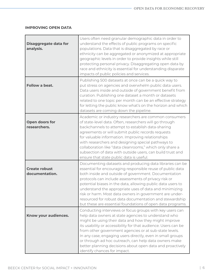#### **IMPROVING OPEN DATA**

| Disaggregate data for<br>analysis.     | Users often need granular demographic data in order to<br>understand the effects of public programs on specific<br>populations. Data that is disaggregated by race or<br>ethnicity can be aggregated or anonymized at appropriate<br>geographic levels in order to provide insights while still<br>protecting personal privacy. Disaggregating open data by<br>race and ethnicity is essential for understanding disparate<br>impacts of public policies and services.                                                                              |
|----------------------------------------|-----------------------------------------------------------------------------------------------------------------------------------------------------------------------------------------------------------------------------------------------------------------------------------------------------------------------------------------------------------------------------------------------------------------------------------------------------------------------------------------------------------------------------------------------------|
| Follow a beat.                         | Publishing 500 datasets at once can be a quick way to<br>put stress on agencies and overwhelm public data users.<br>Data users inside and outside of government benefit from<br>curation. Publishing one dataset a month or datasets<br>related to one topic per month can be an effective strategy<br>for letting the public know what's on the horizon and which<br>datasets are coming down the pipeline.                                                                                                                                        |
| Open doors for<br>researchers.         | Academic or industry researchers are common consumers<br>of state-level data. Often, researchers will go through<br>backchannels to attempt to establish data-sharing<br>agreements or will submit public records requests<br>for valuable information. Improving relationships<br>with researchers and designing special pathways to<br>collaboration like "data cleanrooms," which only share a<br>subsection of data with outside users, can build trust and<br>ensure that state public data is useful.                                         |
| <b>Create robust</b><br>documentation. | Documenting datasets and producing data libraries can be<br>essential for encouraging responsible reuse of public data<br>both inside and outside of government. Documentation<br>protocols can include assessments of privacy risk or<br>potential biases in the data, allowing public data users to<br>understand the appropriate uses of data and minimizing<br>risk or harm. Most data owners in government are under-<br>resourced for robust data documentation and stewardship<br>but these are essential foundations of open data programs. |
| Know your audiences.                   | Conducting interviews or focus groups with key users can<br>help data owners at state agencies to understand who<br>might be using their data and how they might improve<br>its usability or accessibility for that audience. Users can be<br>from other government agencies or at sub-state levels.<br>In any case, engaging users directly, even in small groups<br>or through ad hoc outreach, can help data owners make<br>better planning decisions about open data and proactively<br>identify chances for impact.                            |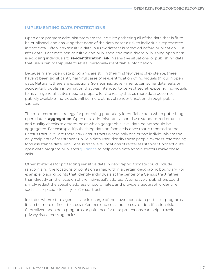#### **IMPLEMENTING DATA PROTECTIONS**

Open data program administrators are tasked with gathering all of the data that is fit to be published, and ensuring that none of the data poses a risk to individuals represented in that data. Often, any sensitive data in a raw dataset is removed before publication. But after data is deemed non-sensitive and published, the main risk to publishing open data is exposing individuals to **re-identification risk** in sensitive situations, or publishing data that users can manipulate to reveal personally identifiable information.

Because many open data programs are still in their first few years of existence, there haven't been significantly harmful cases of re-identification of individuals through open data. Naturally, there are exceptions. Sometimes, governments can suffer data leaks or accidentally publish information that was intended to be kept secret, exposing individuals to risk. In general, states need to prepare for the reality that as more data becomes publicly available, individuals will be more at risk of re-identification through public sources.

The most common strategy for protecting potentially identifiable data when publishing open data is **aggregation**. Open data administrators should use standardized protocols and quality checks to determine at which geographic level data points should be aggregated. For example, if publishing data on food assistance that is reported at the Census tract level, are there any Census tracts where only one or two individuals are the only recipients of assistance? Could a data user identify those people by cross-referencing food assistance data with Census tract-level locations of rental assistance? Connecticut's open data program publishes quidance to help open data administrators make these calls.

Other strategies for protecting sensitive data in geographic formats could include randomizing the locations of points on a map within a certain geographic boundary. For example, placing points that identify individuals at the center of a Census tract rather than directly on the location of the individual's address. Alternatively, publishers could simply redact the specific address or coordinates, and provide a geographic identifier such as a zip code, locality, or Census tract.

In states where state agencies are in charge of their own open data portals or programs, it can be more difficult to cross-reference datasets and assess re-identification risk. Centralized open data programs or guidance for data protections can help to avoid privacy risks across agencies.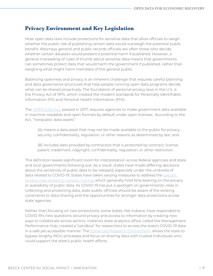# **Privacy Environment and Key Legislation**

Most open data laws include protections for sensitive data that allow officials to weigh whether the public risk of publishing certain data would outweigh the potential public benefit. Attorneys general and public records officials are often those who decide whether certain datasets would present a potential harm if published. However, a general misreading of rules of thumb about sensitive data means that governments can sometimes protect data that would harm the government if published, rather than weighing what might harm members of the general public.

Balancing openness and privacy is an inherent challenge that requires careful planning and data governance structures that help people running open data programs decide what can be shared proactively. The foundation of personal privacy laws in the U.S. is the Privacy Act of 1974, which created the modern standards for Personally Identifiable Information (PII) and Personal Health Information (PHI).

The [OPEN Data Act,](https://www.congress.gov/bill/115th-congress/senate-bill/760/text) passed in 2017, requires agencies to make government data available in machine-readable and open formats by default under open licenses. According to the Act, "nonpublic data assets":

 (A) means a data asset that may not be made available to the public for privacy, security, confidentiality, regulation, or other reasons as determined by law; and

 (B) includes data provided by contractors that is protected by contract, license, patent, trademark, copyright, confidentiality, regulation, or other restriction.

This definition leaves significant room for interpretation across federal agencies and state and local governments following suit. As a result, states have made differing decisions about the sensitivity of public data to be released, especially under the umbrella of data related to COVID-19. States have taken varying measures to address the [specific](https://www.congress.gov/bill/115th-congress/senate-bill/760/text)  [privacy risks related to contact tracing,](https://www.congress.gov/bill/115th-congress/senate-bill/760/text) which generally hold little bearing on the privacy or availability of public data. As COVID-19 has put a spotlight on governments' roles in collecting and protecting data, state public officials should be aware of the existing constraints to data-sharing and the opportunities for stronger data protections across state agencies.

Rather than focusing on new protections, some states, like Indiana, have responded to COVID-19's new questions around privacy and access to information by creating new ways to collaborate across sectors. Indiana's state analytics office, called the Management Performance Hub, created a "sandbox" for researchers to access the state's COVID-19 data in a safe yet accessible manner. The [Enhanced Research Environment](https://statescoop.com/indiana-data-privacy-covid-19-ted-cotterill/) allows the state to bypass lengthy MOU processes and focus on sharing data with trusted individuals who could support the state's public health efforts.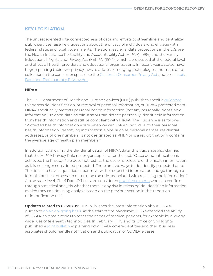#### **KEY LEGISLATION**

The unprecedented interconnectedness of data and efforts to streamline and centralize public services raise new questions about the privacy of individuals who engage with federal, state, and local governments. The strongest legal data protections in the U.S. are the Health Insurance Portability and Accountability Act (HIPAA) (1996) and the Family Educational Rights and Privacy Act (FERPA) (1974), which were passed at the federal level and affect all health providers and educational organizations. In recent years, states have begun passing their own privacy laws to address emerging technologies and mass data collection in the consumer space like the [California Consumer Privacy Act](https://oag.ca.gov/privacy/ccpa) and the [Illinois](https://www.bytebacklaw.com/2020/01/analyzing-the-2020-illinois-data-transparency-and-privacy-act/)  [Data and Transparency Privacy Act](https://www.bytebacklaw.com/2020/01/analyzing-the-2020-illinois-data-transparency-and-privacy-act/).

#### **HIPAA**

The U.S. Department of Health and Human Services (HHS) publishes specific [guidance](https://www.hhs.gov/hipaa/for-professionals/privacy/special-topics/de-identification/index.html) to address de-identification, or removal of personal information, of HIPAA-protected data. HIPAA specifically protects personal health information (not any personally identifiable information), so open data administrators can detach personally identifiable information from health information and still be compliant with HIPAA. The guidance is as follows: "Protected health information exists when we can link an individual to their personal health information. Identifying information alone, such as personal names, residential addresses, or phone numbers, is not designated as PHI. Nor is a report that only contains the average age of health plan members;"

In addition to allowing the de-identification of HIPAA data, this guidance also clarifies that the HIPAA Privacy Rule no longer applies after the fact: "Once de-identification is achieved, the Privacy Rule does not restrict the use or disclosure of the health information, as it is no longer considered protected. There are two ways to de-identify protected data. The first is to have a qualified expert review the requested information and go through a formal statistical process to determine the risks associated with releasing the information." At the state level, Chief Data Officers are considered [qualified experts](https://www.hhs.gov/hipaa/for-professionals/privacy/special-topics/de-identification/index.html#standard) who can confirm through statistical analysis whether there is any risk in releasing de-identified information (which they can do using analysis based on the previous section in this report on re-identification risk).

**Updates related to COVID-19:** HHS publishes the latest information about HIPAA guidance [on an on-going basis](https://www.hhs.gov/hipaa/for-professionals/special-topics/hipaa-covid19/index.html). At the start of the pandemic, HHS expanded the ability of HIPAA-covered entities to meet the needs of medical patients, for example by allowing wider use of telehealth technologies. In February, HHS and its Office of Civil Rights published a [joint bulletin](https://www.hhs.gov/sites/default/files/february-2020-hipaa-and-novel-coronavirus.pdf) explaining how HIPAA covered entities and their business associates should handle notification and publication of COVID-19 cases.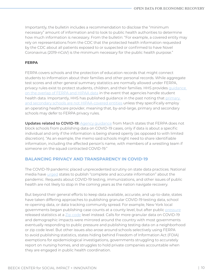Importantly, the bulletin includes a recommendation to disclose the "minimum necessary" amount of information and to look to public health authorities to determine how much information is necessary. From the bulletin: "For example, a covered entity may rely on representations from the CDC that the protected health information requested by the CDC about all patients exposed to or suspected or confirmed to have Novel Coronavirus (2019-nCoV) is the minimum necessary for the public health purpose."

#### **FERPA**

FERPA covers schools and the protection of education records that might connect students to information about their families and other personal records. While aggregate test scores and other general summary statistics are normally allowed under FERPA, privacy rules exist to protect students, children, and their families. HHS provides [guidance](https://www.hhs.gov/hipaa/for-professionals/special-topics/ferpa-hipaa/index.html)  [on the overlap of FERPA and HIPAA data](https://www.hhs.gov/hipaa/for-professionals/special-topics/ferpa-hipaa/index.html) in the event that agencies handle student health data. Importantly, HHS has published guidance in the past noting that [primary](https://www.hhs.gov/hipaa/for-professionals/faq/513/does-hipaa-apply-to-an-elementary-school/index.html)  [and secondary schools are not HIPAA-covered entities](https://www.hhs.gov/hipaa/for-professionals/faq/513/does-hipaa-apply-to-an-elementary-school/index.html) unless they specifically employ an operating healthcare provider, meaning that, by-and-large, primary and secondary schools may defer to FERPA privacy rules.

**Updates related to COVID-19:** [Agency guidance](https://studentprivacy.ed.gov/sites/default/files/resource_document/file/FERPA%20and%20Coronavirus%20Frequently%20Asked%20Questions.pdf) from March states that FERPA does not block schools from publishing data on COVID-19 cases, only if data is about a specific individual and only if the information is being shared openly (as opposed to with limited discretion). "As an example, the memo said schools might need to share identifiable information, including the affected person's name, with members of a wrestling team if someone on the squad contracted COVID-19."

#### **BALANCING PRIVACY AND TRANSPARENCY IN COVID-19**

The COVID-19 pandemic placed unprecedented scrutiny on state data practices. National media have [urged](https://www.nbcnews.com/politics/politics-news/i-m-looking-truth-states-face-criticism-covid-19-data-n1202086) states to publish "complete and accurate information" about the pandemic. Requests about COVID-19 testing, immunizations, and other issues of public health are not likely to stop in the coming years as the nation navigate recovery.

But beyond their general efforts to keep data available, accurate, and up-to-date, states have taken differing approaches to publishing granular COVID-19 testing data, school re-opening data, or data tracking community spread. For example, New York local governments began publishing case counts at a county level, but after public [pressure](https://www.propublica.org/article/new-york-city-coronavirus-cases-locations-nyc-mayor-bill-de-blasio) released statistics at a [Zip code](https://newyork.cbslocal.com/2020/05/19/nyc-coronavirus-deaths-zip-codes/) level instead. Calls for more granular data on COVID-19 and demographic impacts were mirrored around the country with most governments eventually responding to public pressure and publishing testing data on a neighborhood or zip code level. But other issues also arose around schools selectively using FERPA to avoid publishing statistics, states hiding behind Freedom of Information Act (FOIA) exemptions for epidemiological investigations, governments struggling to accurately report on nursing homes, and struggles to hold private companies accountable when they are engaged in public health coordination.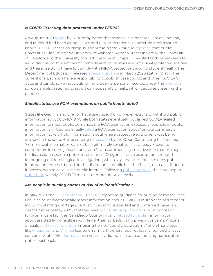#### *Is COVID-19 testing data protected under FERPA?*

An August 2020 [report](https://www.usatoday.com/story/news/investigations/2020/08/09/schools-cite-hipaa-hide-coronavirus-numbers-they-cant-do-that/3323986001/) by *USAToday* noted that schools in Tennessee, Florida, Indiana, and Missouri had been citing HIPAA and FERPA to rationalize obscuring information about COVID-19 cases on campus. *The Washington Post* also [reported](https://www.washingtonpost.com/education/2020/09/02/college-coronavirus-privacy-laws/) that public universities—including the University of Alabama, Arizona State University, the University of Houston, and the University of North Carolina at Chapel Hill—cited both privacy laws to avoid discussing student health. Schools and universities are not HIPAA-protected entities, and therefore do not have to comply with HIPAA protections around student health. The Department of Education released [special guidance](https://studentprivacy.ed.gov/resources/ferpa-and-coronavirus-disease-2019-covid-19) in March 2020 stating that in the current crisis, schools have a responsibility to publish case counts and other COVID-19 data, and can do so without publishing students' personal records. Under the [Clery Act](https://clerycenter.org/policy-resources/the-clery-act/), schools are also required to report campus safety threats, which captures crises like the pandemic.

#### *Should states use FOIA exemptions on public health data?*

States like Georgia and Oregon have used specific FOIA exemptions to withhold public information about COVID-19. While both states eventually published COVID-related information to meet public demands, the FOIA exemption exposed a loophole in public information law. Georgia initially [cited](https://www.ajc.com/politics/georgia-keeps-key-virus-information-from-public/DHZGBAGKJRFLVDCGCWGJ2NGCLE/) a FOIA exemption about "private commercial information" to withhold information about where protective equipment was being shipped in the state. But, according to [research](http://mythbusting.open-contracting.org/) by the Open Contracting Partnership, "commercial information cannot be legitimately sensitive if it's already known to competitors in some jurisdictions," and "even commercially sensitive information may be disclosed based on a public interest test." Oregon [cited](https://www.oregonlive.com/coronavirus/2020/06/oregon-uses-coronavirus-data-to-make-decisions-about-reopening-it-refuses-to-release-that-data.html) an exemption intended for ongoing epidemiological investigations, which says that the state can deny public information requests based on the discretion of public health officials, but can still deem it necessary to release in the public interest. Following [public pressure,](https://twitter.com/search?q=ORS%20433.008&src=typed_query) the state began [publishing](https://www.oregon.gov/oha/PH/DISEASESCONDITIONS/DISEASESAZ/Emerging%20Respitory%20Infections/Weekly-County-Metrics.pdf) weekly COVID-19 metrics at more granular levels.

#### *Are people in nursing homes at risk of re-identification?*

In May 2020, the HHS [published](https://www.cms.gov/files/document/qso-20-29-nh.pdf) COVID-19 reporting guidance for nursing home facilities. Facilities must electronically report information about COVID-19 in standardized formats, including staffing shortages, ventilator capacity, suspected and confirmed cases, and deaths. Yet as of May 2020, 13 states were [not publishing data](https://www.azcentral.com/story/news/investigations/2020/05/01/nursing-homes-covid-19-do-any-near-you-have-coronavirus/3015488001/) on nursing homes or long-term care facilities. San Diego County initially [refused to publish](https://inewsource.org/2020/07/22/san-diego-county-wont-name-nursing-home-coronavirus-deaths/) information about assisted living facilities with fewer than six beds citing privacy concerns. Arizona officials [said releasing data](https://www.azcentral.com/story/news/local/arizona-health/2020/05/15/arizona-disclosing-nursing-homes-have-covid-19-would-hurt-business/5203600002/) on nursing homes "could create stigma" and other states like [Mississippi](https://www.clarionledger.com/story/news/politics/2020/04/02/mississippi-coronavirus-what-state-isnt-telling-us/5111260002/) and [Virginia](https://www.pilotonline.com/news/health/vp-nw-coronavirus-nursing-homes-data-20200512-yyezyjleorh4rciufe3rglhnbq-story.html) leaned on similarly general but not legally founded privacy concerns. States like [Pennsylvania](https://www.media.pa.gov/Pages/Health-Details.aspx?newsid=817) eventually did publish data on nursing homes after public pushback.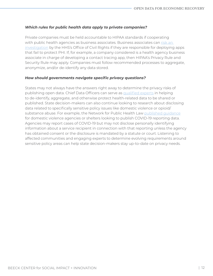#### *Which rules for public health data apply to private companies?*

Private companies must be held accountable to HIPAA standards if cooperating with public health agencies as business associates. Business associates can risk an [investigation](https://www.dwt.com/blogs/privacy--security-law-blog/2020/06/covid-19-contact-tracing-technology-legal-risks) by the HHS's Office of Civil Rights if they are responsible for deploying apps that fail to protect PHI. If, for example, a company considered is a health agency business associate in charge of developing a contact tracing app, then HIPAA's Privacy Rule and Security Rule may apply. Companies must follow recommended processes to aggregate, anonymize, and/or de-identify any data stored.

#### *How should governments navigate specific privacy questions?*

States may not always have the answers right away to determine the privacy risks of publishing open data. Chief Data Officers can serve as [qualified experts](https://www.hhs.gov/hipaa/for-professionals/privacy/special-topics/de-identification/index.html#standard) in helping to de-identify, aggregate, and otherwise protect health-related data to be shared or published. State decision-makers can also continue looking to research about disclosing data related to specifically sensitive policy issues like domestic violence or opioid/ substance abuse. For example, the Network for Public Health Law published quidance for domestic violence agencies or shelters looking to publish COVID-19 reporting data. Agencies may report cases of COVID-19 but may not disclose personally identifying information about a service recipient in connection with that reporting unless the agency has obtained consent or the disclosure is mandated by a statute or court. Listening to affected communities and engaging experts to determine evolving requirements around sensitive policy areas can help state decision-makers stay up-to-date on privacy needs.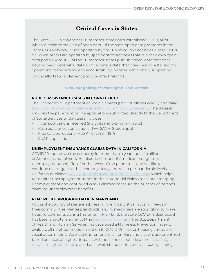# **Critical Cases in States**

The State CDO Network has 30 member states with established CDOs, all of which publish some kind of open data. Of the state open data programs in the State CDO Network, 22 are operated by the IT or executive agencies where CDOs sit. Seven others are operated by specific state agencies that run their own open data portals. About 17 of the 30 member states publish critical data that goes beyond basic geospatial data. Critical data is data that goes beyond establishing operational transparency and accountability in states, additionally supporting critical efforts to implement policy or affect reforms.

#### **[View our gallery of State Open Data Portals](https://airtable.com/shr4sMJ4VwhsttDMK)**

#### **PUBLIC ASSISTANCE CASES IN CONNECTICUT**

The Connecticut Department of Social Services (DSS) publishes weekly and daily [DSS Application Activity Before and During COVID-19 Emergency.](https://data.ct.gov/Health-and-Human-Services/Daily-DSS-Application-Activity-Before-and-During-C/pmna-639e) The dataset includes the paper and online applications submitted directly to the Department of Social Services by day. Data includes:

- Total applications received (includes multi-program apps)
- Cash assistance applications (TFA, SAGA, State Supp)
- Medical applications (HUSKY C, LTSS, MSP)
- SNAP applications

#### **UNEMPLOYMENT INSURANCE CLAIMS DATA IN CALIFORNIA**

COVID-19 shut down the economy for more than a year and left millions of Americans out of work. An historic number of Americans sought out unemployment benefits after the onset of the pandemic, and will likely continue to struggle as the economy slowly returns to pre-pandemic levels. California publishes [weekly unemployment insurance claims data](https://data.ca.gov/dataset/unemployment-insurance-weekly-claims-data-for-california) which helps to monitor unemployment trends in the state. Initial claims measure emerging unemployment and continued weeks claimed measure the number of persons claiming unemployment benefits.

#### **RENT RELIEF PROGRAM DATA IN MARYLAND**

Across the country, states are addressing the most critical housing needs in their communities. Renters, landlords, and homeowners are struggling to make housing payments during this time. In Maryland, the state COVID-19 dashboard has been a pivotal element of the [Rent Relief Program.](https://www.montgomerycountymd.gov/HHS/RightNav/COVID19_RentReliefProgram.html) The U.S. Department of Health and Human Services has developed a Homeless Prevention Index to evaluate all neighborhoods in relation to COVID-19 impact, housing stress, and social determinants. Applications for rent relief for Maryland citizens are prioritized based on areas of highest impact, with households outside of the [initial "high](http://bit.ly/mc-hpi-map)  [impact" neighborhoods](http://bit.ly/mc-hpi-map) placed on a waitlist and contacted as capacity allows.]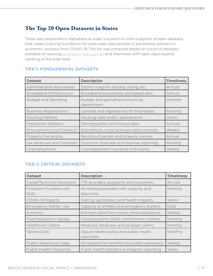# **The Top 20 Open Datasets in States**

These lists, presented in alphabetical order, is a point-in-time snapshot of open datasets that create a strong foundation for state open data portals or are directly relevant to economic recovery from COVID-19. This list was compiled based on a scan of datasets available on existing [state open data portals](https://airtable.com/shr4sMJ4VwhsttDMK/tbl2SSLcto5LH1wzz) and interviews with open data experts working at the state level.

| <b>Dataset</b>                  | <b>Description</b>                            | <b>Timeliness</b> |
|---------------------------------|-----------------------------------------------|-------------------|
| Administrative Boundaries       | District maps for schools, voting, etc.       | Annual            |
| <b>Broadband Infrastructure</b> | Broadband accessibility and speed data.       | Annual            |
| <b>Budget and Spending</b>      | Budget and spending amounts by<br>department. | Monthly           |
| <b>Business Registrations</b>   | Licenses and registrations for businesses.    | Monthly           |
| <b>Housing Markets</b>          | Housing sales and/or assessments.             | Varies            |
| <b>Population Statistics</b>    | Demographics and Census data.                 | Annual            |
| Procurement and Contracts       | Solicitations, costs, and executed contracts. | Weekly            |
| Property Ownership              | Records of parcels and property owners.       | Annual            |
| Tax Revenues and Forecasts      | Economic forecasts and revenue reporting.     | Monthly           |
| Unemployment                    | Unemployment insurance and claims.            | Weekly            |

#### **TIER 1: FUNDAMENTAL DATASETS**

# **TIER 2: CRITICAL DATASETS**

| <b>Dataset</b>                   | <b>Description</b>                                   | <b>Timeliness</b> |
|----------------------------------|------------------------------------------------------|-------------------|
| Career/Technical Education       | CTE providers, programs, and outcomes.               | Annual            |
| Childcare Providers and<br>Slots | Accredited providers with capacity and<br>resources. | Monthly           |
| COVID-19 Impacts                 | Testing, vaccination, and health impacts.            | Varies            |
| <b>Emergency Shelter Use</b>     | Capacity at shelters and emergency shelters.         | Daily             |
| Evictions                        | Evictions data from courts, rental assistance.       | Weekly            |
| Food Assistance Uptake           | Food programs, SNAP, and farmers markets.            | Monthly           |
| <b>Healthcare Claims</b>         | Medicaid, Medicare, and all-payer claims.            | Monthly           |
| Opioid Crisis                    | Opioid-related policy and public health<br>outcomes. | Monthly           |
| <b>Public Assistance Cases</b>   | All requests for benefits and public assistance.     | Weekly            |
| <b>Public Health Outcomes</b>    | Public health statistics or program reporting.       | Varies            |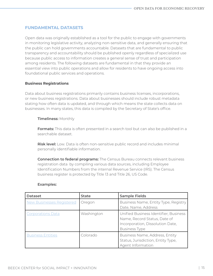#### **FUNDAMENTAL DATASETS**

Open data was originally established as a tool for the public to engage with governments in monitoring legislative activity, analyzing non-sensitive data, and generally ensuring that the public can hold governments accountable. Datasets that are fundamental to public transparency and accountability should be published openly regardless of specialized use because public access to information creates a general sense of trust and participation among residents. The following datasets are fundamental in that they provide an essential view into public operations and allow for residents to have ongoing access into foundational public services and operations.

#### **Business Registrations**

Data about business registrations primarily contains business licenses, incorporations, or new business registrations. Data about businesses should include robust metadata stating how often data is updated, and through which means the state collects data on businesses. In many states, this data is compiled by the Secretary of State's office.

#### **Timeliness:** Monthly

**Formats:** This data is often presented in a search tool but can also be published in a searchable dataset.

 **Risk level:** Low. Data is often non-sensitive public record and includes minimal personally identifiable information.

**Connection to federal programs:** The Census Bureau connects relevant business registration data by compiling various data sources, including Employee Identification Numbers from the internal Revenue Service (IRS). The Census business register is protected by Title 13 and Title 26, US Code.

| <b>Dataset</b>                   | <b>State</b> | <b>Sample Fields</b>                                                                                                              |
|----------------------------------|--------------|-----------------------------------------------------------------------------------------------------------------------------------|
| <b>New Businesses Registered</b> | Oregon       | Business Name, Entity Type, Registry<br>Date, Name, Address                                                                       |
| <b>Corporations Data</b>         | Washington   | Unified Business Identifier, Business<br>Name, Record Status, Date of<br>Incorporation, Dissolution Date,<br><b>Business Type</b> |
| <b>Business Entities</b>         | Colorado     | Business Name, Address, Entity<br>Status, Jurisdiction, Entity Type,<br>Agent Information                                         |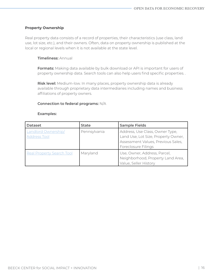#### **Property Ownership**

Real property data consists of a record of properties, their characteristics (use class, land use, lot size, etc.), and their owners. Often, data on property ownership is published at the local or regional levels when it is not available at the state level.

#### **Timeliness:** Annual

**Formats:** Making data available by bulk download or API is important for users of property ownership data. Search tools can also help users find specific properties. .

 **Risk level:** Medium-low. In many places, property ownership data is already available through proprietary data intermediaries including names and business affiliations of property owners.

#### **Connection to federal programs:** N/A

| <b>Dataset</b>                                    | <b>State</b> | <b>Sample Fields</b>                                                                                                                |
|---------------------------------------------------|--------------|-------------------------------------------------------------------------------------------------------------------------------------|
| <b>Landlord Ownership/</b><br><b>Address Tool</b> | Pennsylvania | Address, Use Class, Owner Type,<br>Land Use, Lot Size, Property Owner,<br>Assessment Values, Previous Sales,<br>Foreclosure Filings |
| <b>Real Property Search Tool</b>                  | Maryland     | Use, Owner, Address, Parcel,<br>Neighborhood, Property Land Area,<br>Value, Seller History                                          |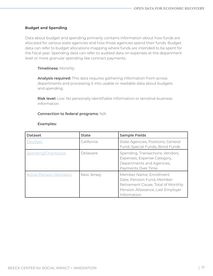#### **Budget and Spending**

Data about budget and spending primarily contains information about how funds are allocated for various state agencies and how those agencies spend their funds. Budget data can refer to budget allocations mapping where funds are intended to be spent for the fiscal year. Spending data can refer to audited data on expenses at the department level or more granular spending like contract payments.

#### **Timeliness:** Monthly

**Analysis required:** This data requires gathering information from across departments and processing it into usable or readable data about budgets and spending.

 **Risk level:** Low. No personally identifiable information or sensitive business information.

#### **Connection to federal programs:** N/A

| <b>Dataset</b>                | <b>State</b> | <b>Sample Fields</b>                                                                                                                           |
|-------------------------------|--------------|------------------------------------------------------------------------------------------------------------------------------------------------|
| Ebudget                       | California   | State Agencies, Positions, General<br>Fund, Special Funds, Bond Funds                                                                          |
| Spending/Checkbook            | Delaware     | Spending, Transactions, Vendors,<br>Expenses, Expense Category,<br>Departments and Agencies,<br>Payments Over Time                             |
| <b>Active Pension Members</b> | New Jersey   | Member Name, Enrollment<br>Date, Pension Fund, Member<br>Retirement Cause, Total of Monthly<br>Pension Allowance, Last Employer<br>Information |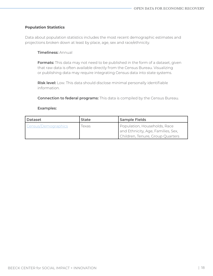#### **Population Statistics**

Data about population statistics includes the most recent demographic estimates and projections broken down at least by place, age, sex and race/ethnicity.

#### **Timeliness:** Annual

**Formats:** This data may not need to be published in the form of a dataset, given that raw data is often available directly from the Census Bureau. Visualizing or publishing data may require integrating Census data into state systems.

 **Risk level:** Low. This data should disclose minimal personally identifiable information.

**Connection to federal programs:** This data is compiled by the Census Bureau.

| l Dataset           | <b>State</b> | <b>Sample Fields</b>                                               |
|---------------------|--------------|--------------------------------------------------------------------|
| Census/Demographics | Texas        | Population, Households, Race<br>and Ethnicity, Age, Families, Sex, |
|                     |              | Children, Tenure, Group Quarters                                   |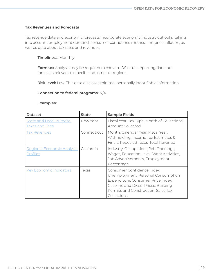#### **Tax Revenues and Forecasts**

Tax revenue data and economic forecasts incorporate economic industry outlooks, taking into account employment demand, consumer confidence metrics, and price inflation, as well as data about tax rates and revenues.

#### **Timeliness:** Monthly

**Formats:** Analysis may be required to convert IRS or tax reporting data into forecasts relevant to specific industries or regions.

 **Risk level:** Low. This data discloses minimal personally identifiable information.

#### **Connection to federal programs:** N/A

| <b>Dataset</b>                                          | <b>State</b> | <b>Sample Fields</b>                                                                                                                                                                                 |
|---------------------------------------------------------|--------------|------------------------------------------------------------------------------------------------------------------------------------------------------------------------------------------------------|
| <b>State and Local Purpose</b><br><u>Taxes and Fees</u> | New York     | Fiscal Year, Tax Type, Month of Collections,<br>Amount Collected                                                                                                                                     |
| Ta <u>x Revenues</u>                                    | Connecticut  | Month, Calendar Year, Fiscal Year,<br>Withholding, Income Tax Estimates &<br>Finals, Repealed Taxes, Total Revenue                                                                                   |
| Regional Economic Analysis<br>Profiles                  | California   | Industry, Occupations, Job Openings,<br>Wages, Education Level, Work Activities,<br>Job Advertisements, Employment<br>Percentage                                                                     |
| <b>Key Economic Indicators</b>                          | Texas        | Consumer Confidence Index,<br>Unemployment, Personal Consumption<br>Expenditure, Consumer Price Index,<br>Gasoline and Diesel Prices, Building<br>Permits and Construction, Sales Tax<br>Collections |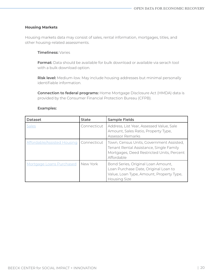#### **Housing Markets**

Housing markets data may consist of sales, rental information, mortgages, titles, and other housing-related assessments.

#### **Timeliness:** Varies

**Format:** Data should be available for bulk download or available via serach tool with a bulk download option.

 **Risk level:** Medium-low. May include housing addresses but minimal personally identifiable information.

**Connection to federal programs:** Home Mortgage Disclosure Act (HMDA) data is provided by the Consumer Financial Protection Bureau (CFPB).

| <b>Dataset</b>              | <b>State</b> | <b>Sample Fields</b>                                                                                                                           |
|-----------------------------|--------------|------------------------------------------------------------------------------------------------------------------------------------------------|
| <b>Sales</b>                | Connecticut  | Address, List Year, Assessed Value, Sale<br>Amount, Sales Ratio, Property Type,<br><b>Assessor Remarks</b>                                     |
| Affordable/Assisted Housing | Connecticut  | Town, Census Units, Government Assisted,<br>Tenant Rental Assistance, Single Family<br>Mortgages, Deed Restricted Units, Percent<br>Affordable |
| Mortgage Loans Purchased    | New York     | Bond Series, Original Loan Amount,<br>Loan Purchase Date, Original Loan to<br>Value, Loan Type, Amount, Property Type,<br><b>Housing Size</b>  |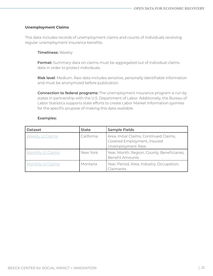#### **Unemployment Claims**

This data includes records of unemployment claims and counts of individuals receiving regular unemployment insurance benefits.

#### **Timeliness:** Weekly

**Format:** Summary data on claims must be aggregated out of individual claims data in order to protect individuals.

**Risk level**: Medium. Raw data includes sensitive, personally identifiable information and must be anonymized before publication.

 **Connection to federal programs:** The unemployment insurance program is run by states in partnership with the U.S. Department of Labor. Additionally, the Bureau of Labor Statistics supports state efforts to create Labor Market Information sysmtes for the specific prupose of making this data available.

| <b>Dataset</b>           | <b>State</b> | <b>Sample Fields</b>                                                                        |
|--------------------------|--------------|---------------------------------------------------------------------------------------------|
| <b>Weekly UI Claims</b>  | California   | Area, Initial Claims, Continued Claims,<br>Covered Employment, Insured<br>Unemployment Rate |
| <b>Monthly UI Claims</b> | New York     | Year, Month, Region, County, Beneficiaries,<br><b>Benefit Amounts</b>                       |
| Monthly UI Claims        | Montana      | Year, Period, Area, Industry, Occupation,<br>Claimants                                      |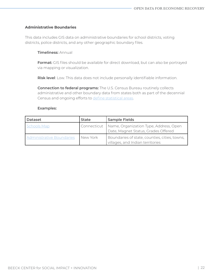#### **Administrative Boundaries**

This data includes GIS data on administrative boundaries for school districts, voting districts, police districts, and any other geographic boundary files.

#### **Timeliness:** Annual

**Format:** GIS files should be available for direct download, but can also be portrayed via mapping or visualization.

**Risk level**: Low. This data does not include personally identifiable information.

**Connection to federal programs:** The U.S. Census Bureau routinely collects administrative and other boundary data from states both as part of the decennial Census and ongoing efforts to [define statistical areas.](https://www.census.gov/programs-surveys/geography/about/training/legal-and-geographic-entities.html)

| <b>Dataset</b>            | <b>State</b> | <b>Sample Fields</b>                                                                        |
|---------------------------|--------------|---------------------------------------------------------------------------------------------|
| <b>Schools Map</b>        |              | Connecticut   Name, Organization Type, Address, Open<br>Date, Magnet Status, Grades Offered |
| Administrative Boundaries | New York     | Boundaries of state, counties, cities, towns,<br>villages, and Indian territories           |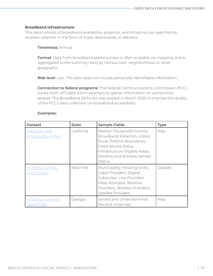#### **Broadband Infrastructure**

This data consists of broadband availability, adoption, and infrastructure specified by location, whether in the form of maps, dashboards, or datasets.

#### **Timeliness:** Annual

**Format**: Data from broadband speed surveys is often available via mapping and is aggregated to the summary level by Census tract, neighborhood, or other geography.

**Risk level**: Low. This data does not include personally identifiable information.

**Connection to federal programs:** The Federal Communications Commission (FCC) tracks Form 477 data which attempts to gather information on connectivity speeds. The Broadband DATA Act was passed in March 2020 to improve the quality of the FCC's data collection on broadband accessibility.

| <b>Dataset</b>                                   | <b>State</b> | <b>Sample Fields</b>                                                                                                                                                                       | <b>Type</b> |
|--------------------------------------------------|--------------|--------------------------------------------------------------------------------------------------------------------------------------------------------------------------------------------|-------------|
| <b>Adoption and</b><br><b>Infrastructure Map</b> | California   | Median Household Income,<br>Broadband Adoption, Urban/<br>Rural, Political Boundaries,<br>Fixed Served Status,<br>Infrastructure Eligible Areas,<br>Wireline and Wireless Served<br>Status | Map         |
| Infrastructure by<br>Municipality                | New York     | Municipality, Housing Units,<br>Cable Providers, Digital<br>Subscriber Line Providers,<br>Fiber Providers, Wireline<br>Providers, Wireless Providers,<br>Satellite Providers               | Dataset     |
| Infrastructure and<br>Speed Map                  | Georgia      | Served and Unserved Areas,<br>Percent Unserved                                                                                                                                             | Map         |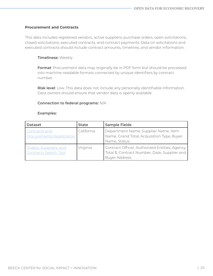#### **Procurement and Contracts**

This data includes registered vendors, active suppliers, purchase orders, open solicitations, closed solicitations, executed contracts, and contract payments. Data on solicitations and executed contracts should include contract amounts, timelines, and vendor information.

#### **Timeliness:** Weekly

**Format**: Procurement data may originally be in PDF form but should be processed into machine-readable formats connected by unique identifiers by contract number.

**Risk level**: Low. This data does not include any personally identifiable information. Data owners should ensure that vendor data is openly available.

#### **Connection to federal programs:** N/A

| <b>Dataset</b>                                         | <b>State</b> | <b>Sample Fields</b>                                                                                                    |
|--------------------------------------------------------|--------------|-------------------------------------------------------------------------------------------------------------------------|
| Contracts and<br><b>Procurements Registration</b>      | California   | Department Name, Supplier Name, Item<br>Name, Grand Total, Acquisition Type, Buyer<br>Name, Status                      |
| Orders, Suppliers, and<br><b>Contracts Search Tool</b> | Virginia     | Contract Officer, Authorized Entities, Agency,<br>Total \$, Contract Number, Date, Supplier and<br><b>Buyer Address</b> |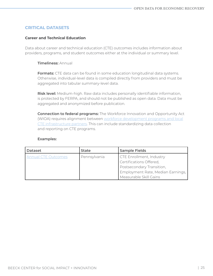#### **CRITICAL DATASETS**

#### **Career and Technical Education**

Data about career and technical education (CTE) outcomes includes information about providers, programs, and student outcomes either at the individual or summary level.

#### **Timeliness:** Annual

**Formats:** CTE data can be found in some education longitudinal data systems. Otherwise, individual-level data is compiled directly from providers and must be aggregated into tabular summary-level data.

 **Risk level:** Medium-high. Raw data includes personally identifiable information, is protected by FERPA, and should not be published as open data. Data must be aggregated and anonymized before publication.

**Connection to federal programs:** The Workforce Innovation and Opportunity Act (WIOA) requires alignment between [workforce development programs and local](https://careertech.org/wioa) [CTE infrastructure partners.](https://careertech.org/wioa) This can include standardizing data collection and reporting on CTE programs.

| <b>Dataset</b>             | <b>State</b> | <b>Sample Fields</b>              |
|----------------------------|--------------|-----------------------------------|
| <b>Annual CTE Outcomes</b> | Pennsylvania | <b>CTE Enrollment, Industry</b>   |
|                            |              | Certifications Offered,           |
|                            |              | Postsecondary Transition,         |
|                            |              | Employment Rate, Median Earnings, |
|                            |              | Measurable Skill Gains            |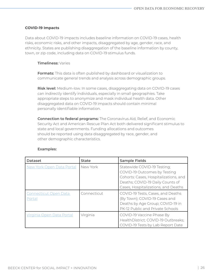#### **COVID-19 Impacts**

Data about COVID-19 impacts includes baseline information on COVID-19 cases, health risks, economic risks, and other impacts, disaggregated by age, gender, race, and ethnicity. States are publishing disaggregation of the baseline information by county, town, or zip code, including data on COVID-19 stimulus funds.

#### **Timeliness:** Varies

**Formats:** This data is often published by dashboard or visualization to communicate general trends and analysis across demographic groups.

 **Risk level:** Medium-low. In some cases, disaggregating data on COVID-19 cases can indirectly identify individuals, especially in small geographies. Take appropriate steps to anonymize and mask individual health data. Other disaggregated data on COVID-19 impacts should contain minimal personally identifiable information.

**Connection to federal programs:** The Coronavirus Aid, Relief, and Economic Security Act and American Rescue Plan Act both delivered significant stimulus to state and local governments. Funding allocations and outcomes should be reported using data disaggregated by race, gender, and other demographic characteristics.

| <b>Dataset</b>                         | <b>State</b> | <b>Sample Fields</b>                                                                                                                                                            |
|----------------------------------------|--------------|---------------------------------------------------------------------------------------------------------------------------------------------------------------------------------|
| New York Open Data Portal              | New York     | Statewide COVID-19 Testing;<br>COVID-19 Outcomes by Testing<br>Cohorts: Cases, Hospitalizations, and<br>Deaths; COVID-19 Daily Counts of<br>Cases, Hospitalizations, and Deaths |
| <b>Connecticut Open Data</b><br>Portal | Connecticut  | COVID-19 Tests, Cases, and Deaths<br>(By Town); COVID-19 Cases and<br>Deaths by Age Group; COVID-19 in<br>PK-12 Public and Private Schools                                      |
| Virginia Open Data Portal              | Virginia     | COVID-19 Vaccine Phase By<br>HealthDistrict; COVID-19 Outbreaks;<br>COVID-19 Tests by Lab Report Date                                                                           |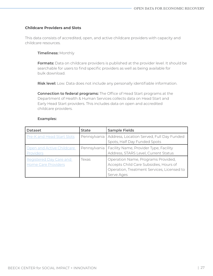#### **Childcare Providers and Slots**

This data consists of accredited, open, and active childcare providers with capacity and childcare resources.

#### **Timeliness:** Monthly

**Formats:** Data on childcare providers is published at the provider level. It should be searchable for users to find specific providers as well as being available for bulk download.

**Risk level:** Low. Data does not include any personally identifiable information.

**Connection to federal programs:** The Office of Head Start programs at the Department of Health & Human Services collects data on Head Start and Early Head Start providers. This includes data on open and accredited childcare providers.

| <b>Dataset</b>                                        | <b>State</b> | <b>Sample Fields</b>                                                                                                                     |
|-------------------------------------------------------|--------------|------------------------------------------------------------------------------------------------------------------------------------------|
| Pre-K and Head Start Slots                            |              | Pennsylvania   Address, Location Served, Full Day Funded<br>Spots, Half Day Funded Spots                                                 |
| Open and Active Childcare<br>Providers                |              | Pennsylvania   Facility Name, Provider Type, Facility<br>Address, STARS Level, Current Status                                            |
| Registered Day Care and<br><b>Home Care Providers</b> | Texas        | Operation Name, Programs Provided,<br>Accepts Child Care Subsidies, Hours of<br>Operation, Treatment Services, Licensed to<br>Serve Ages |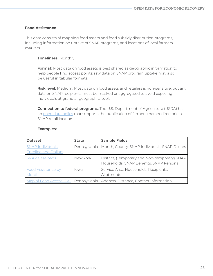#### **Food Assistance**

This data consists of mapping food assets and food subsidy distribution programs, including information on uptake of SNAP programs, and locations of local farmers' markets.

#### **Timeliness:** Monthly

**Format:** Most data on food assets is best shared as geographic information to help people find access points; raw data on SNAP program uptake may also be useful in tabular formats.

**Risk level:** Medium. Most data on food assets and retailers is non-sensitive, but any data on SNAP recipients must be masked or aggregated to avoid exposing individuals at granular geographic levels.

**Connection to federal programs:** The U.S. Department of Agriculture (USDA) has an [open data policy](https://www.usda.gov/sites/default/files/documents/odp-communications-plan.pdf) that supports the publication of farmers market directories or SNAP retail locators.

| <b>Dataset</b>                                         | <b>State</b> | <b>Sample Fields</b>                                                                    |
|--------------------------------------------------------|--------------|-----------------------------------------------------------------------------------------|
| <b>SNAP Individuals</b><br><b>Enrolled and Dollars</b> | Pennsylvania | Month, County, SNAP Individuals, SNAP Dollars                                           |
| <b>SNAP Caseloads</b>                                  | New York     | District, (Temporary and Non-temporary) SNAP<br>Households, SNAP Benefits, SNAP Persons |
| <b>Food Assistance by</b><br>Month                     | lowa         | Service Area, Households, Recipients,<br>Allotments                                     |
| Map of Food Access (PA)                                |              | Pennsylvania   Address, Distance, Contact Information                                   |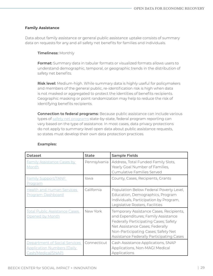#### **Family Assistance**

Data about family assistance or general public assistance uptake consists of summary data on requests for any and all safety net benefits for families and individuals.

#### **Timeliness:** Monthly

**Format:** Summary data in tabular formats or visualized formats allows users to understand demographic, temporal, or geographic trends in the distribution of safety net benefits.

**Risk level:** Medium-high. While summary data is highly useful for policymakers and members of the general public, re-identification risk is high when data is not masked or aggregated to protect the identities of benefits recipients. Geographic masking or point randomization may help to reduce the risk of identifying benefits recipients.

**Connection to federal programs:** Because public assistance can include various types of [safety net programs](https://beeckcenter.georgetown.edu/wp-content/uploads/2020/07/SSN-Report-V4.pdf) state-by-state, federal program reporting can vary based on the type of assistance. In most cases, data privacy protections do not apply to summary-level open data about public assistance requests, so states must develop their own data protection practices.

| <b>Dataset</b>                                                                           | <b>State</b> | <b>Sample Fields</b>                                                                                                                                                                                                                          |
|------------------------------------------------------------------------------------------|--------------|-----------------------------------------------------------------------------------------------------------------------------------------------------------------------------------------------------------------------------------------------|
| <b>Family Assistance Cases by</b><br>Month                                               | Pennsylvania | Address, Total Funded Family Slots,<br>Yearly Goal Number of Families,<br><b>Cumulative Families Served</b>                                                                                                                                   |
| <b>Family Support/TANF</b><br><u>Program</u>                                             | lowa         | County, Cases, Recipients, Grants                                                                                                                                                                                                             |
| <b>Health and Human Services</b><br><b>Program Dashboard</b>                             | California   | Population Below Federal Poverty Level,<br>Education, Demographics, Program<br>Individuals, Participation by Program,<br>Legislative Rosters, Facilities                                                                                      |
| Total Public Assistance Cases<br>Opened by Month                                         | New York     | Temporary Assistance Cases, Recipients,<br>and Expenditures; Family Assistance<br>Federally Participating Cases; Safety<br>Net Assistance Cases; Federally<br>Non-Participating Cases; Safety Net<br>Assistance Federally Participating Cases |
| Department of Social Services<br><b>Application Numbers (Daily</b><br>Cash/Medical/SNAP) | Connecticut  | Cash Assistance Applications, SNAP<br>Applications, Non-MAGI Medical<br>Applications                                                                                                                                                          |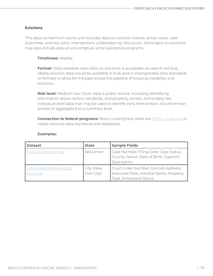#### **Evictions**

This data comes from courts and includes data on eviction notices, active cases, case outcomes, and any other interventions undertaken by the courts. Some data on evictions may also include data on pre-emptive rental assistance programs.

#### **Timeliness:** Weekly

**Format:** Most available open data on evictions is accessible via search tool but, ideally, eviction data would be available in bulk and in interoperable data standards or formats to allow for linkages across the pipeline of housing instability and evictions.

**Risk level:** Medium-low. Court data is public record, including identifying information about renters, landlords, and property owners. Some data, like individual-level data that may be used to identify early intervention, should remain private or aggregated to a summary level.

**Connection to federal programs:** None currently but there are [efforts underway](http://newamerica.org/future-land-housing/blog/our-8-recommendations-for-improving-local-and-national-eviction-data/) to create national data standards and databases.

| <b>Dataset</b>                      | <b>State</b>            | <b>Sample Fields</b>                                                                                     |
|-------------------------------------|-------------------------|----------------------------------------------------------------------------------------------------------|
| <b>Evictions Search Tool</b>        | Wisconsin               | Case Number, Filing Date, Case Status,<br>County, Name, Date of Birth, Caption/<br>Description           |
| Scheduled and Executed<br>Evictions | City (New<br>York City) | Court Index Number, Eviction Address,<br>Executed Date, Marshal Name, Property<br>Type, Scheduled Status |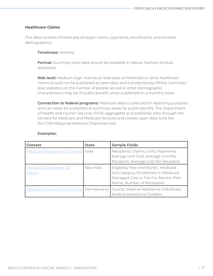#### **Healthcare Claims**

This data consists of Medicaid, all-payer claims, payments, enrollments, and enrollee demographics.

#### **Timeliness:** Monthly

**Format:** Summary-level data should be available in tabular formats for bulk download.

**Risk level:** Medium-high. Individual-level data on Medicaid or other healthcare claims should not be published as open data and is protected by HIPAA. Summary level statistics on the number of people served or other demographic characteristics may be of public benefit when published on a monthly basis.

**Connection to federal programs:** Medicaid data is collected for reporting purposes and can easily be published at summary levels for public benefit. The Department of Health and Human Services (HHS) aggregates and publishes data through the Centers for Medicare and Medicaid Services and creates open data tools like the CMS Mapping Medicare Disparities tool.

| <b>Dataset</b>                         | <b>State</b>  | <b>Sample Fields</b>                                                                                                                                |
|----------------------------------------|---------------|-----------------------------------------------------------------------------------------------------------------------------------------------------|
| <b>Medicaid Payment and Claims</b>     | <b>l</b> lowa | Recipients, Claims, Units, Payments,<br>Average Unit Cost, Average Unit Per<br>Recipient, Average Cost Per Recipient                                |
| <b>Medicaid Enrollment by</b><br>Month | New York      | Eligibility Year and Month, Medicaid<br>Aid Category, Enrollment in Medicaid<br>Managed Care or Fee For Service, Plan<br>Name, Number of Recipients |
| Medical Assistance Enrollment          | Pennsylvania  | County, Medical Assistance Individuals,<br>Medical Assistance Children                                                                              |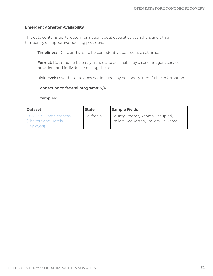#### **Emergency Shelter Availability**

This data contains up-to-date information about capacities at shelters and other temporary or supportive-housing providers.

**Timeliness:** Daily, and should be consistently updated at a set time.

**Format:** Data should be easily usable and accessible by case managers, service providers, and individuals seeking shelter.

**Risk level:** Low. This data does not include any personally identifiable information.

#### **Connection to federal programs:** N/A

| <b>Dataset</b>                                                   | <b>State</b> | <b>Sample Fields</b>                                                     |
|------------------------------------------------------------------|--------------|--------------------------------------------------------------------------|
| <b>COVID-19 Homelessness</b><br>Shelters and Hotels<br>Deployed) | California   | County, Rooms, Rooms Occupied,<br>Trailers Requested, Trailers Delivered |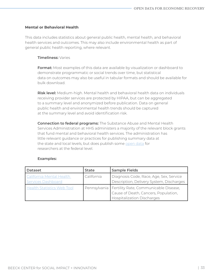#### **Mental or Behavioral Health**

This data includes statistics about general public health, mental health, and behavioral health services and outcomes. This may also include environmental health as part of general public health reporting, where relevant.

#### **Timeliness:** Varies

**Format:** Most examples of this data are available by visualization or dashboard to demonstrate programmatic or social trends over time, but statistical data on outcomes may also be useful in tabular formats and should be available for bulk download.

**Risk level:** Medium-high. Mental health and behavioral health data on individuals receiving provider services are protected by HIPAA, but can be aggregated to a summary level and anonymized before publication. Data on general public health and environmental health trends should be captured at the summary level and avoid identification risk.

**Connection to federal programs:** The Substance Abuse and Mental Health Services Administration at HHS administers a majority of the relevant block grants that fund mental and behavioral health services. The administration has little relevant guidance or practices for publishing summary data at the state and local levels, but does publish some [open data](https://2019.results4america.org/agency/substance-abuse-mental-health-services-administration/) for researchers at the federal level.

| <b>Dataset</b>                    | <b>State</b> | <b>Sample Fields</b>                                 |
|-----------------------------------|--------------|------------------------------------------------------|
| California Mental Health          | California   | Diagnosis Code, Race, Age, Sex, Service              |
| <b>Services Dashboard</b>         |              | Description, Delivery System, Discharges             |
| <b>Health Statistics Web Tool</b> |              | Pennsylvania   Fertility Rate, Communicable Disease, |
|                                   |              | Cause of Death, Cancers, Population,                 |
|                                   |              | <b>Hospitalization Discharges</b>                    |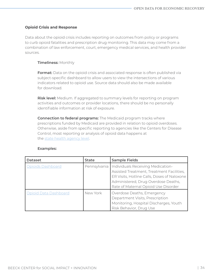#### **Opioid Crisis and Response**

Data about the opioid crisis includes reporting on outcomes from policy or programs to curb opioid fatalities and prescription drug monitoring. This data may come from a combination of law enforcement, court, emergency medical services, and health provider sources.

#### **Timeliness:** Monthly

 **Format:** Data on the opioid crisis and associated response is often published via subject-specific dashboard to allow users to view the intersections of various indicators related to opioid use. Source data should also be made available for download.

**Risk level:** Medium. If aggregated to summary levels for reporting on program activities and outcomes or provider locations, there should be no personally identifiable information at risk of exposure.

**Connection to federal programs:** The Medicaid program tracks where prescriptions funded by Medicaid are provided in relation to opioid overdoses. Otherwise, aside from specific reporting to agencies like the Centers for Disease Control, most reporting or analysis of opioid data happens at the [state health agency level](https://scholar.harvard.edu/files/janewiseman/files/data_driven_approaches_to_fighting_the_opioid_crisis_jane_wiseman_april_2019.pdf).

| <b>Dataset</b>           | <b>State</b> | <b>Sample Fields</b>                                                                                                                                                                                         |
|--------------------------|--------------|--------------------------------------------------------------------------------------------------------------------------------------------------------------------------------------------------------------|
| <b>Opioids Dashboard</b> | Pennsylvania | Individuals Receiving Medication-<br>Assisted Treatment, Treatment Facilities,<br>ER Visits, Hotline Calls, Doses of Naloxone<br>Administered, Drug Overdose Deaths,<br>Rate of Maternal Opioid Use Disorder |
| Opioid Data Dashboard    | New York     | Overdose Deaths, Emergency<br>Department Visits, Prescription<br>Monitoring, Hospital Discharges, Youth<br>Risk Behavior, Drug Use                                                                           |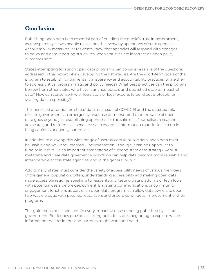# **Conclusion**

Publishing open data is an essential part of building the public's trust in government, as transparency allows people to see into the everyday operations of state agencies. Accountability measures let residents know that agencies will respond with changes to policy and data reporting structures when statistics are incorrect or when policy outcomes shift.

States attempting to launch open data programs can consider a range of the questions addressed in this report when developing their strategies. Are the short-term goals of the program to establish fundamental transparency and accountability practices, or are they to address critical programmatic and policy needs? What best practices can the program borrow from other states who have launched portals and published usable, impactful data? How can states work with legislators or legal experts to build out protocols for sharing data responsibly?

The increased attention on states' data as a result of COVID-19 and the outsized role of state governments in emergency response demonstrated that the value of open data goes beyond just establishing openness for the sake of it. Journalists, researchers, advocates, and residents all need access to essential information that sits locked up in filing cabinets or agency harddrives.

In addition to allowing this wide range of users access to public data, open data must be usable and well-documented. Documentation—though it can be unpopular to fund or invest in—is an important cornerstone of a strong state data strategy. Robust metadata and clear data governance workflows can help data become more reusable and interoperable across state agencies, and in the general public.

Additionally, states must consider the variety of accessibility needs of various members of the general population. Often, understanding accessibility and making open data more accessible requires speaking to residents and testing data platforms or tech tools with potential users before deployment. Engaging communications or community engagement functions as part of an open data program can allow data owners to open two-way dialogue with potential data users and ensure continuous improvement of their programs.

This guidebook does not contain every impactful dataset being published by a state government. But it does provide a starting point for states beginning to explore which information their residents and partners might want and need.